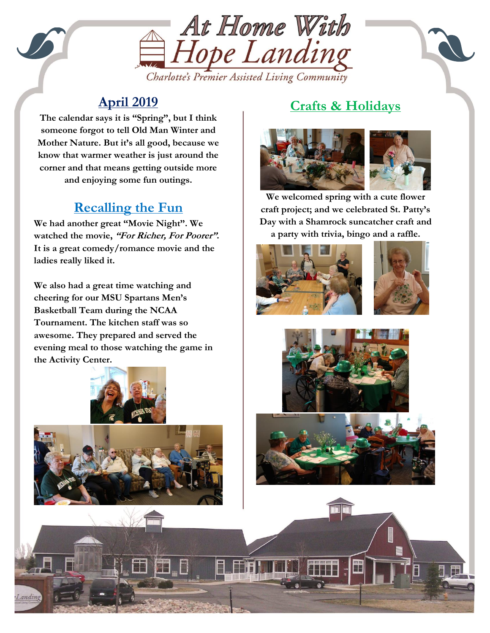

## Charlotte's Premier Assisted Living Community

## **April 2019**

**The calendar says it is "Spring", but I think someone forgot to tell Old Man Winter and Mother Nature. But it's all good, because we know that warmer weather is just around the corner and that means getting outside more and enjoying some fun outings.**

#### Kentucky Derby Party **Recalling the Fun**

**We had another great "Movie Night". We watched the movie, "For Richer, For Poorer". It is a great comedy/romance movie and the ladies really liked it.**

**We also had a great time watching and cheering for our MSU Spartans Men's Basketball Team during the NCAA Tournament. The kitchen staff was so awesome. They prepared and served the evening meal to those watching the game in the Activity Center.**





ì

# **Crafts & Holidays**



**We welcomed spring with a cute flower craft project; and we celebrated St. Patty's Day with a Shamrock suncatcher craft and a party with trivia, bingo and a raffle.**